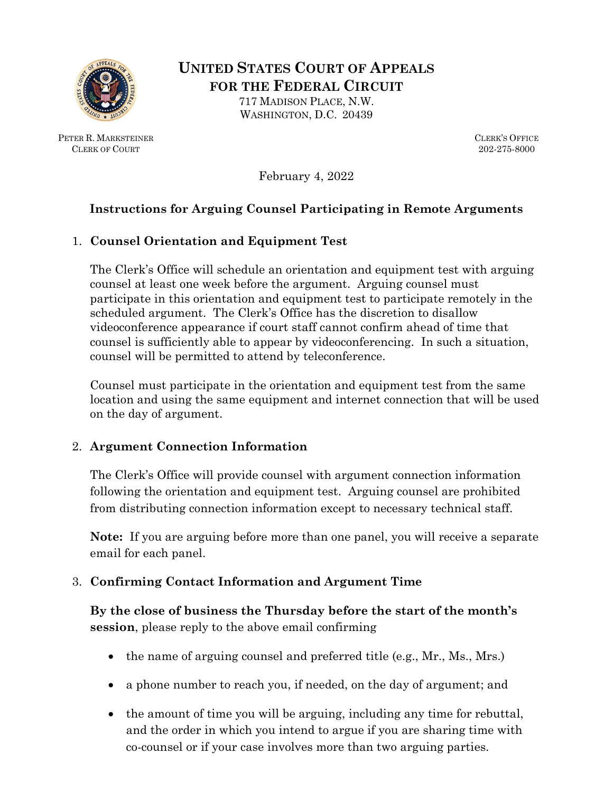

**UNITED STATES COURT OF APPEALS FOR THE FEDERAL CIRCUIT** 717 MADISON PLACE, N.W.

PETER R. MARKSTEINER CLERK OF COURT

WASHINGTON, D.C. 20439

CLERK'S OFFICE 202-275-8000

February 4, 2022

### **Instructions for Arguing Counsel Participating in Remote Arguments**

#### 1. **Counsel Orientation and Equipment Test**

The Clerk's Office will schedule an orientation and equipment test with arguing counsel at least one week before the argument. Arguing counsel must participate in this orientation and equipment test to participate remotely in the scheduled argument. The Clerk's Office has the discretion to disallow videoconference appearance if court staff cannot confirm ahead of time that counsel is sufficiently able to appear by videoconferencing. In such a situation, counsel will be permitted to attend by teleconference.

Counsel must participate in the orientation and equipment test from the same location and using the same equipment and internet connection that will be used on the day of argument.

#### 2. **Argument Connection Information**

The Clerk's Office will provide counsel with argument connection information following the orientation and equipment test. Arguing counsel are prohibited from distributing connection information except to necessary technical staff.

**Note:** If you are arguing before more than one panel, you will receive a separate email for each panel.

#### 3. **Confirming Contact Information and Argument Time**

**By the close of business the Thursday before the start of the month's session**, please reply to the above email confirming

- the name of arguing counsel and preferred title (e.g., Mr., Ms., Mrs.)
- a phone number to reach you, if needed, on the day of argument; and
- the amount of time you will be arguing, including any time for rebuttal, and the order in which you intend to argue if you are sharing time with co-counsel or if your case involves more than two arguing parties.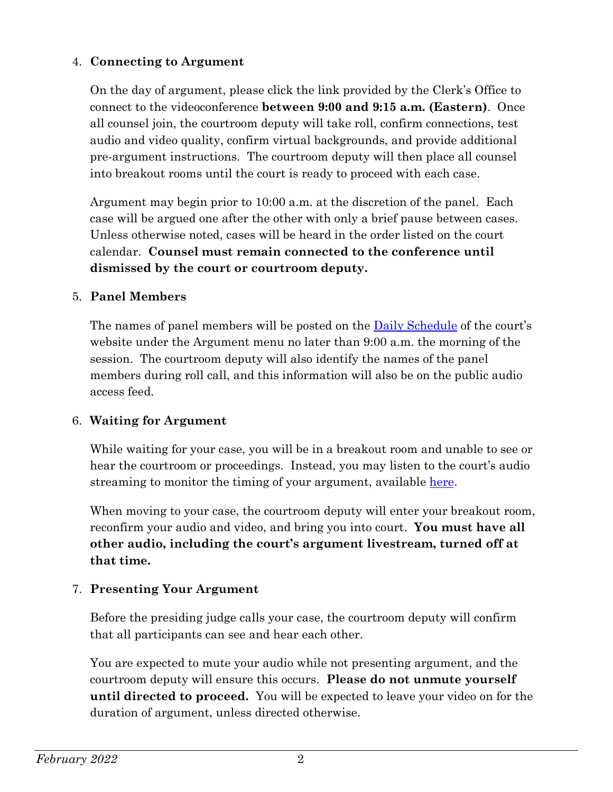### 4. **Connecting to Argument**

On the day of argument, please click the link provided by the Clerk's Office to connect to the videoconference **between 9:00 and 9:15 a.m. (Eastern)**. Once all counsel join, the courtroom deputy will take roll, confirm connections, test audio and video quality, confirm virtual backgrounds, and provide additional pre-argument instructions. The courtroom deputy will then place all counsel into breakout rooms until the court is ready to proceed with each case.

Argument may begin prior to 10:00 a.m. at the discretion of the panel. Each case will be argued one after the other with only a brief pause between cases. Unless otherwise noted, cases will be heard in the order listed on the court calendar. **Counsel must remain connected to the conference until dismissed by the court or courtroom deputy.**

#### 5. **Panel Members**

The names of panel members will be posted on the [Daily Schedule](https://cafc.uscourts.gov/daily-schedule/) of the court's website under the Argument menu no later than 9:00 a.m. the morning of the session. The courtroom deputy will also identify the names of the panel members during roll call, and this information will also be on the public audio access feed.

#### 6. **Waiting for Argument**

While waiting for your case, you will be in a breakout room and unable to see or hear the courtroom or proceedings. Instead, you may listen to the court's audio streaming to monitor the timing of your argument, available [here.](http://www.cafc.uscourts.gov/daily-schedule)

When moving to your case, the courtroom deputy will enter your breakout room, reconfirm your audio and video, and bring you into court. **You must have all other audio, including the court's argument livestream, turned off at that time.**

#### 7. **Presenting Your Argument**

Before the presiding judge calls your case, the courtroom deputy will confirm that all participants can see and hear each other.

You are expected to mute your audio while not presenting argument, and the courtroom deputy will ensure this occurs. **Please do not unmute yourself until directed to proceed.** You will be expected to leave your video on for the duration of argument, unless directed otherwise.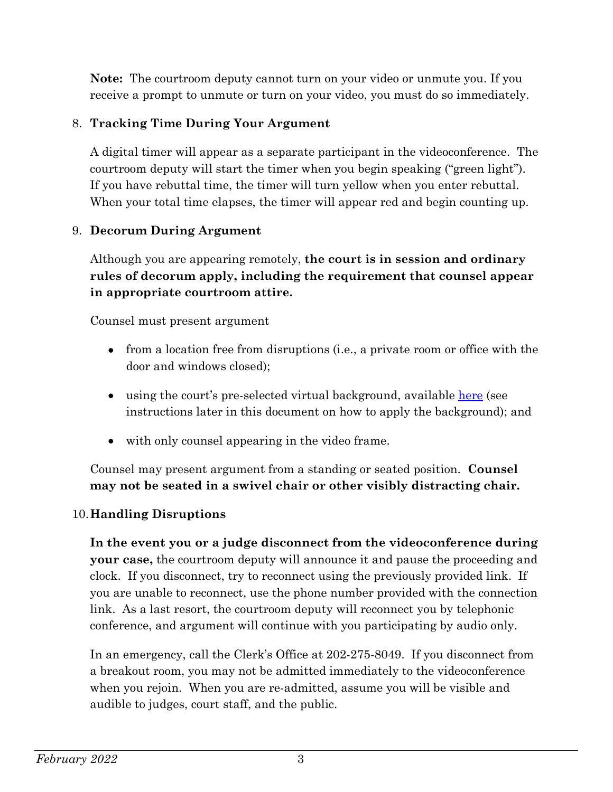**Note:** The courtroom deputy cannot turn on your video or unmute you. If you receive a prompt to unmute or turn on your video, you must do so immediately.

## 8. **Tracking Time During Your Argument**

A digital timer will appear as a separate participant in the videoconference. The courtroom deputy will start the timer when you begin speaking ("green light"). If you have rebuttal time, the timer will turn yellow when you enter rebuttal. When your total time elapses, the timer will appear red and begin counting up.

# 9. **Decorum During Argument**

Although you are appearing remotely, **the court is in session and ordinary rules of decorum apply, including the requirement that counsel appear in appropriate courtroom attire.**

Counsel must present argument

- from a location free from disruptions (i.e., a private room or office with the door and windows closed);
- using the court's pre-selected virtual background, available [here](http://www.cafc.uscourts.gov/wp-content/uploads/Counsel-Zoom-Background.jpg) (see instructions later in this document on how to apply the background); and
- with only counsel appearing in the video frame.

Counsel may present argument from a standing or seated position. **Counsel may not be seated in a swivel chair or other visibly distracting chair.**

# 10.**Handling Disruptions**

**In the event you or a judge disconnect from the videoconference during your case,** the courtroom deputy will announce it and pause the proceeding and clock. If you disconnect, try to reconnect using the previously provided link. If you are unable to reconnect, use the phone number provided with the connection link. As a last resort, the courtroom deputy will reconnect you by telephonic conference, and argument will continue with you participating by audio only.

In an emergency, call the Clerk's Office at 202-275-8049. If you disconnect from a breakout room, you may not be admitted immediately to the videoconference when you rejoin. When you are re-admitted, assume you will be visible and audible to judges, court staff, and the public.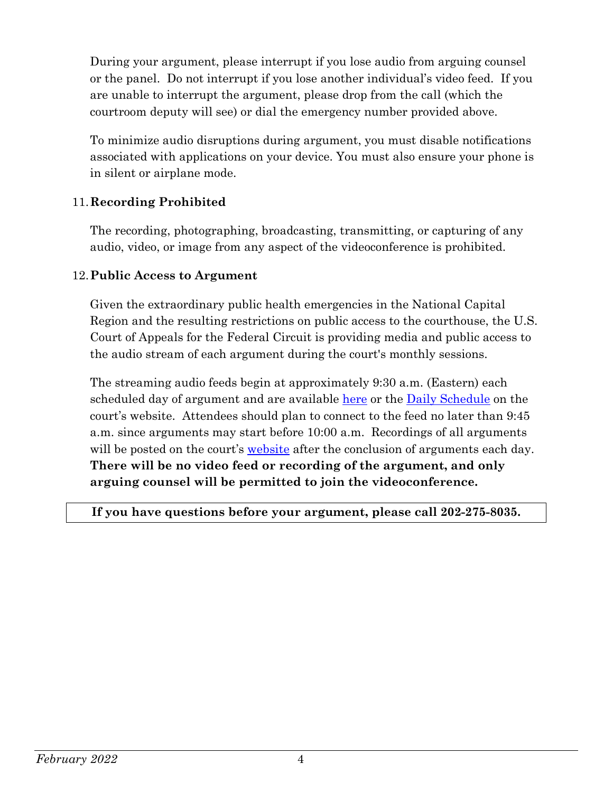During your argument, please interrupt if you lose audio from arguing counsel or the panel. Do not interrupt if you lose another individual's video feed. If you are unable to interrupt the argument, please drop from the call (which the courtroom deputy will see) or dial the emergency number provided above.

To minimize audio disruptions during argument, you must disable notifications associated with applications on your device. You must also ensure your phone is in silent or airplane mode.

### 11.**Recording Prohibited**

The recording, photographing, broadcasting, transmitting, or capturing of any audio, video, or image from any aspect of the videoconference is prohibited.

### 12.**Public Access to Argument**

Given the extraordinary public health emergencies in the National Capital Region and the resulting restrictions on public access to the courthouse, the U.S. Court of Appeals for the Federal Circuit is providing media and public access to the audio stream of each argument during the court's monthly sessions.

The streaming audio feeds begin at approximately 9:30 a.m. (Eastern) each scheduled day of argument and are available [here](https://www.youtube.com/channel/UC78NfBf28AQe3x7-SbbMC2A/) or the [Daily Schedule](http://www.cafc.uscourts.gov/daily-schedule) on the court's website. Attendees should plan to connect to the feed no later than 9:45 a.m. since arguments may start before 10:00 a.m. Recordings of all arguments will be posted on the court's [website](http://www.cafc.uscourts.gov/oral-argument-recordings) after the conclusion of arguments each day. **There will be no video feed or recording of the argument, and only arguing counsel will be permitted to join the videoconference.**

**If you have questions before your argument, please call 202-275-8035.**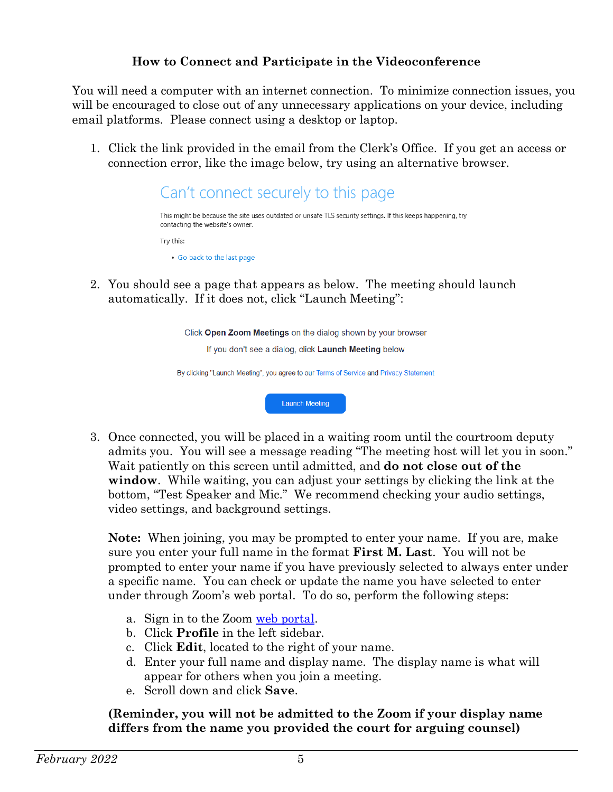### **How to Connect and Participate in the Videoconference**

You will need a computer with an internet connection. To minimize connection issues, you will be encouraged to close out of any unnecessary applications on your device, including email platforms. Please connect using a desktop or laptop.

1. Click the link provided in the email from the Clerk's Office. If you get an access or connection error, like the image below, try using an alternative browser.



2. You should see a page that appears as below. The meeting should launch automatically. If it does not, click "Launch Meeting":

Click Open Zoom Meetings on the dialog shown by your browser

If you don't see a dialog, click Launch Meeting below

By clicking "Launch Meeting", you agree to our Terms of Service and Privacy Statement

**Launch Meeting** 

3. Once connected, you will be placed in a waiting room until the courtroom deputy admits you. You will see a message reading "The meeting host will let you in soon." Wait patiently on this screen until admitted, and **do not close out of the window**. While waiting, you can adjust your settings by clicking the link at the bottom, "Test Speaker and Mic." We recommend checking your audio settings, video settings, and background settings.

**Note:** When joining, you may be prompted to enter your name. If you are, make sure you enter your full name in the format **First M. Last**. You will not be prompted to enter your name if you have previously selected to always enter under a specific name. You can check or update the name you have selected to enter under through Zoom's web portal. To do so, perform the following steps:

- a. Sign in to the Zoom [web portal.](https://zoom.us/)
- b. Click **Profile** in the left sidebar.
- c. Click **Edit**, located to the right of your name.
- d. Enter your full name and display name. The display name is what will appear for others when you join a meeting.
- e. Scroll down and click **Save**.

**(Reminder, you will not be admitted to the Zoom if your display name differs from the name you provided the court for arguing counsel)**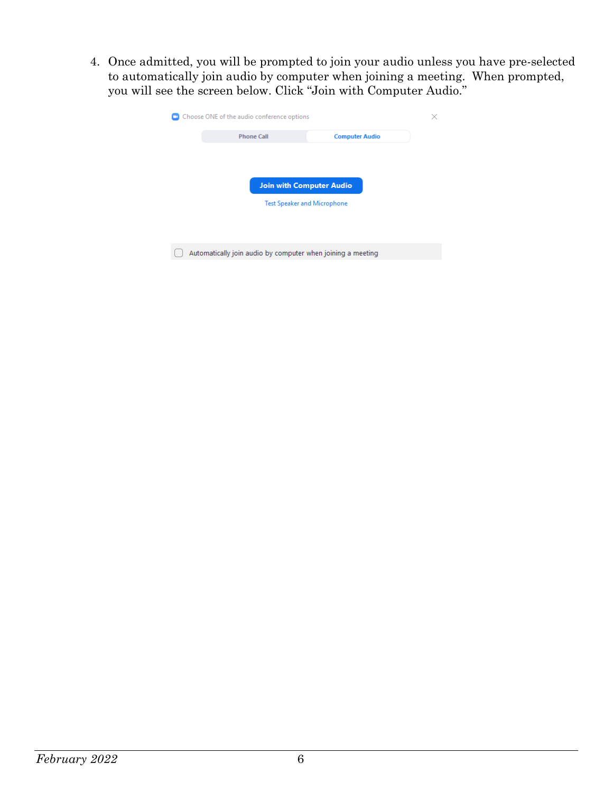4. Once admitted, you will be prompted to join your audio unless you have pre-selected to automatically join audio by computer when joining a meeting. When prompted, you will see the screen below. Click "Join with Computer Audio."

| Choose ONE of the audio conference options                            |                   |                       |  |
|-----------------------------------------------------------------------|-------------------|-----------------------|--|
|                                                                       | <b>Phone Call</b> | <b>Computer Audio</b> |  |
| <b>Join with Computer Audio</b><br><b>Test Speaker and Microphone</b> |                   |                       |  |
| Automatically join audio by computer when joining a meeting           |                   |                       |  |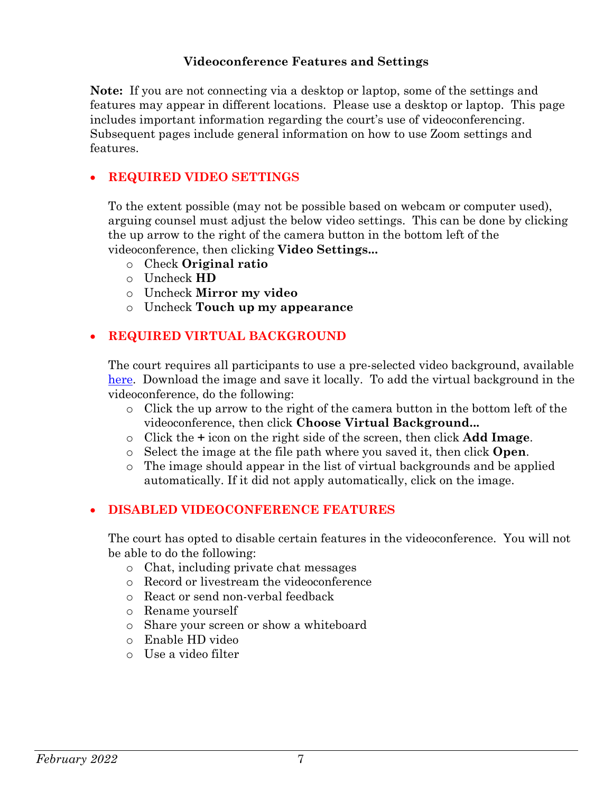#### **Videoconference Features and Settings**

**Note:** If you are not connecting via a desktop or laptop, some of the settings and features may appear in different locations. Please use a desktop or laptop. This page includes important information regarding the court's use of videoconferencing. Subsequent pages include general information on how to use Zoom settings and features.

#### • **REQUIRED VIDEO SETTINGS**

To the extent possible (may not be possible based on webcam or computer used), arguing counsel must adjust the below video settings. This can be done by clicking the up arrow to the right of the camera button in the bottom left of the videoconference, then clicking **Video Settings...**

- o Check **Original ratio**
- o Uncheck **HD**
- o Uncheck **Mirror my video**
- o Uncheck **Touch up my appearance**

#### • **REQUIRED VIRTUAL BACKGROUND**

The court requires all participants to use a pre-selected video background, available [here.](http://www.cafc.uscourts.gov/wp-content/uploads/Counsel-Zoom-Background.jpg) Download the image and save it locally. To add the virtual background in the videoconference, do the following:

- o Click the up arrow to the right of the camera button in the bottom left of the videoconference, then click **Choose Virtual Background...**
- o Click the **+** icon on the right side of the screen, then click **Add Image**.
- o Select the image at the file path where you saved it, then click **Open**.
- o The image should appear in the list of virtual backgrounds and be applied automatically. If it did not apply automatically, click on the image.

#### • **DISABLED VIDEOCONFERENCE FEATURES**

The court has opted to disable certain features in the videoconference. You will not be able to do the following:

- o Chat, including private chat messages
- o Record or livestream the videoconference
- o React or send non-verbal feedback
- o Rename yourself
- o Share your screen or show a whiteboard
- o Enable HD video
- o Use a video filter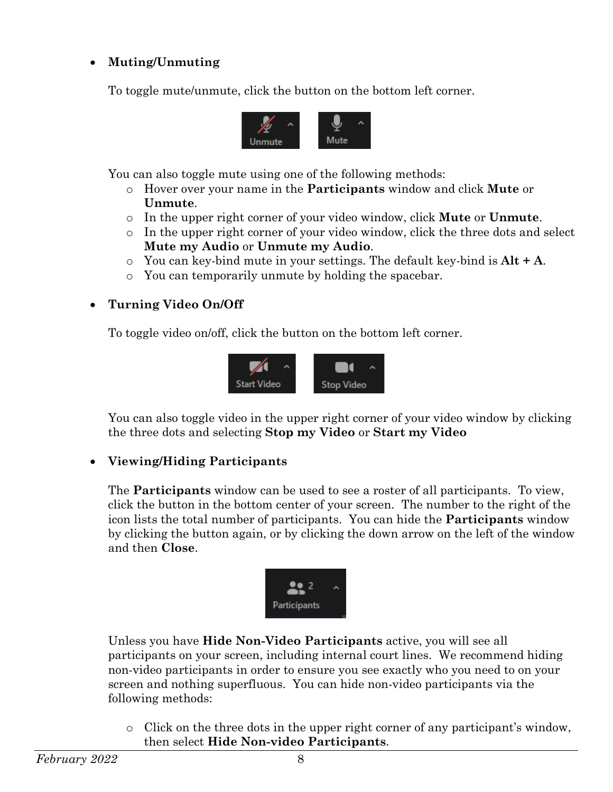# • **Muting/Unmuting**

To toggle mute/unmute, click the button on the bottom left corner.



You can also toggle mute using one of the following methods:

- o Hover over your name in the **Participants** window and click **Mute** or **Unmute**.
- o In the upper right corner of your video window, click **Mute** or **Unmute**.
- o In the upper right corner of your video window, click the three dots and select **Mute my Audio** or **Unmute my Audio**.
- o You can key-bind mute in your settings. The default key-bind is **Alt + A**.
- o You can temporarily unmute by holding the spacebar.

## • **Turning Video On/Off**

To toggle video on/off, click the button on the bottom left corner.



You can also toggle video in the upper right corner of your video window by clicking the three dots and selecting **Stop my Video** or **Start my Video**

## • **Viewing/Hiding Participants**

The **Participants** window can be used to see a roster of all participants. To view, click the button in the bottom center of your screen. The number to the right of the icon lists the total number of participants. You can hide the **Participants** window by clicking the button again, or by clicking the down arrow on the left of the window and then **Close**.



Unless you have **Hide Non-Video Participants** active, you will see all participants on your screen, including internal court lines. We recommend hiding non-video participants in order to ensure you see exactly who you need to on your screen and nothing superfluous. You can hide non-video participants via the following methods:

 $\circ$  Click on the three dots in the upper right corner of any participant's window, then select **Hide Non-video Participants**.